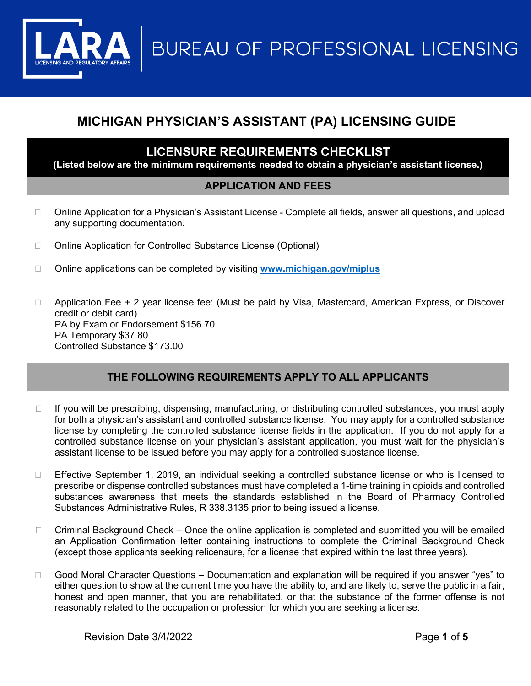**BUREAU OF PROFESSIONAL LICENSING** 

# **MICHIGAN PHYSICIAN'S ASSISTANT (PA) LICENSING GUIDE**

## **LICENSURE REQUIREMENTS CHECKLIST**

**(Listed below are the minimum requirements needed to obtain a physician's assistant license.)**

### **APPLICATION AND FEES**

- □ Online Application for a Physician's Assistant License Complete all fields, answer all questions, and upload any supporting documentation.
- □ Online Application for Controlled Substance License (Optional)

Online applications can be completed by visiting **[www.michigan.gov/miplus](http://www.michigan.gov/miplus)**

□ Application Fee + 2 year license fee: (Must be paid by Visa, Mastercard, American Express, or Discover credit or debit card) PA by Exam or Endorsement \$156.70 PA Temporary \$37.80 Controlled Substance \$173.00

## **THE FOLLOWING REQUIREMENTS APPLY TO ALL APPLICANTS**

- $\Box$  If you will be prescribing, dispensing, manufacturing, or distributing controlled substances, you must apply for both a physician's assistant and controlled substance license. You may apply for a controlled substance license by completing the controlled substance license fields in the application. If you do not apply for a controlled substance license on your physician's assistant application, you must wait for the physician's assistant license to be issued before you may apply for a controlled substance license.
- Effective September 1, 2019, an individual seeking a controlled substance license or who is licensed to prescribe or dispense controlled substances must have completed a 1-time training in opioids and controlled substances awareness that meets the standards established in the Board of Pharmacy Controlled Substances Administrative Rules, R 338.3135 prior to being issued a license.
- $\Box$  Criminal Background Check Once the online application is completed and submitted you will be emailed an Application Confirmation letter containing instructions to complete the Criminal Background Check (except those applicants seeking relicensure, for a license that expired within the last three years).
- □ Good Moral Character Questions Documentation and explanation will be required if you answer "yes" to either question to show at the current time you have the ability to, and are likely to, serve the public in a fair, honest and open manner, that you are rehabilitated, or that the substance of the former offense is not reasonably related to the occupation or profession for which you are seeking a license.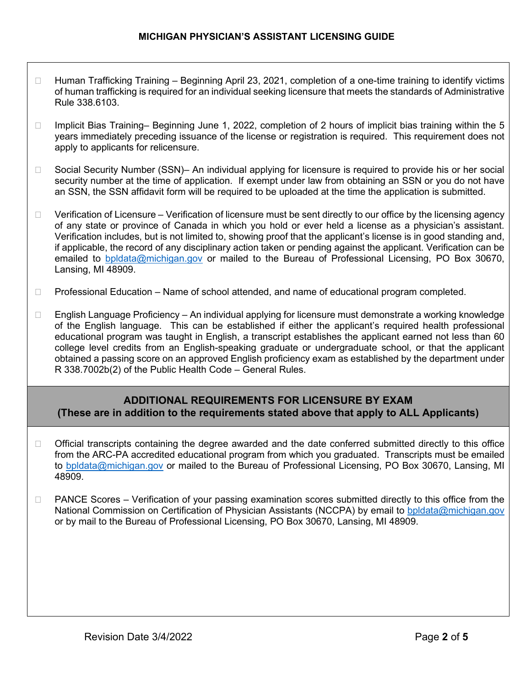- □ Human Trafficking Training Beginning April 23, 2021, completion of a one-time training to identify victims of human trafficking is required for an individual seeking licensure that meets the standards of Administrative Rule 338.6103.
- Implicit Bias Training– Beginning June 1, 2022, completion of 2 hours of implicit bias training within the 5 years immediately preceding issuance of the license or registration is required. This requirement does not apply to applicants for relicensure.
- □ Social Security Number (SSN)– An individual applying for licensure is required to provide his or her social security number at the time of application. If exempt under law from obtaining an SSN or you do not have an SSN, the SSN affidavit form will be required to be uploaded at the time the application is submitted.
- $\Box$  Verification of Licensure Verification of licensure must be sent directly to our office by the licensing agency of any state or province of Canada in which you hold or ever held a license as a physician's assistant. Verification includes, but is not limited to, showing proof that the applicant's license is in good standing and, if applicable, the record of any disciplinary action taken or pending against the applicant. Verification can be emailed to [bpldata@michigan.gov](mailto:bpldata@michigan.gov) or mailed to the Bureau of Professional Licensing, PO Box 30670, Lansing, MI 48909.
- □ Professional Education Name of school attended, and name of educational program completed.
- $\Box$  English Language Proficiency An individual applying for licensure must demonstrate a working knowledge of the English language. This can be established if either the applicant's required health professional educational program was taught in English, a transcript establishes the applicant earned not less than 60 college level credits from an English-speaking graduate or undergraduate school, or that the applicant obtained a passing score on an approved English proficiency exam as established by the department under R 338.7002b(2) of the Public Health Code – General Rules.

## **ADDITIONAL REQUIREMENTS FOR LICENSURE BY EXAM (These are in addition to the requirements stated above that apply to ALL Applicants)**

- $\Box$  Official transcripts containing the degree awarded and the date conferred submitted directly to this office from the ARC-PA accredited educational program from which you graduated. Transcripts must be emailed to [bpldata@michigan.gov](mailto:bpldata@michigan.gov) or mailed to the Bureau of Professional Licensing, PO Box 30670, Lansing, MI 48909.
- □ PANCE Scores Verification of your passing examination scores submitted directly to this office from the National Commission on Certification of Physician Assistants (NCCPA) by email to [bpldata@michigan.gov](mailto:bpldata@michigan.gov) or by mail to the Bureau of Professional Licensing, PO Box 30670, Lansing, MI 48909.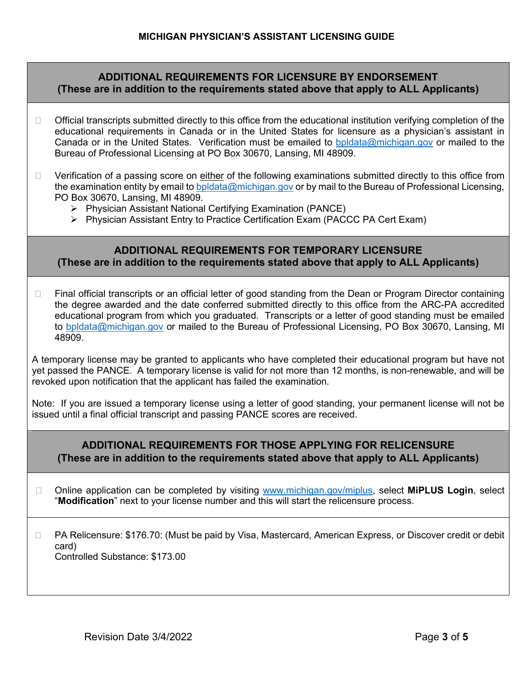### **ADDITIONAL REQUIREMENTS FOR LICENSURE BY ENDORSEMENT (These are in addition to the requirements stated above that apply to ALL Applicants)**

- $\Box$  Official transcripts submitted directly to this office from the educational institution verifying completion of the educational requirements in Canada or in the United States for licensure as a physician's assistant in Canada or in the United States. Verification must be emailed to [bpldata@michigan.gov](mailto:bpldata@michigan.gov) or mailed to the Bureau of Professional Licensing at PO Box 30670, Lansing, MI 48909.
- $\Box$  Verification of a passing score on either of the following examinations submitted directly to this office from the examination entity by email to bpidata@michigan.gov or by mail to the Bureau of Professional Licensing, PO Box 30670, Lansing, MI 48909.
	- Physician Assistant National Certifying Examination (PANCE)
	- Physician Assistant Entry to Practice Certification Exam (PACCC PA Cert Exam)

### **ADDITIONAL REQUIREMENTS FOR TEMPORARY LICENSURE (These are in addition to the requirements stated above that apply to ALL Applicants)**

□ Final official transcripts or an official letter of good standing from the Dean or Program Director containing the degree awarded and the date conferred submitted directly to this office from the ARC-PA accredited educational program from which you graduated. Transcripts or a letter of good standing must be emailed to [bpldata@michigan.gov](mailto:bpldata@michigan.gov) or mailed to the Bureau of Professional Licensing, PO Box 30670, Lansing, MI 48909.

A temporary license may be granted to applicants who have completed their educational program but have not yet passed the PANCE. A temporary license is valid for not more than 12 months, is non-renewable, and will be revoked upon notification that the applicant has failed the examination.

Note: If you are issued a temporary license using a letter of good standing, your permanent license will not be issued until a final official transcript and passing PANCE scores are received.

## **ADDITIONAL REQUIREMENTS FOR THOSE APPLYING FOR RELICENSURE (These are in addition to the requirements stated above that apply to ALL Applicants)**

 Online application can be completed by visiting [www.michigan.gov/miplus,](http://www.michigan.gov/miplus) select **MiPLUS Login**, select "**Modification**" next to your license number and this will start the relicensure process.

□ PA Relicensure: \$176.70: (Must be paid by Visa, Mastercard, American Express, or Discover credit or debit card) Controlled Substance: \$173.00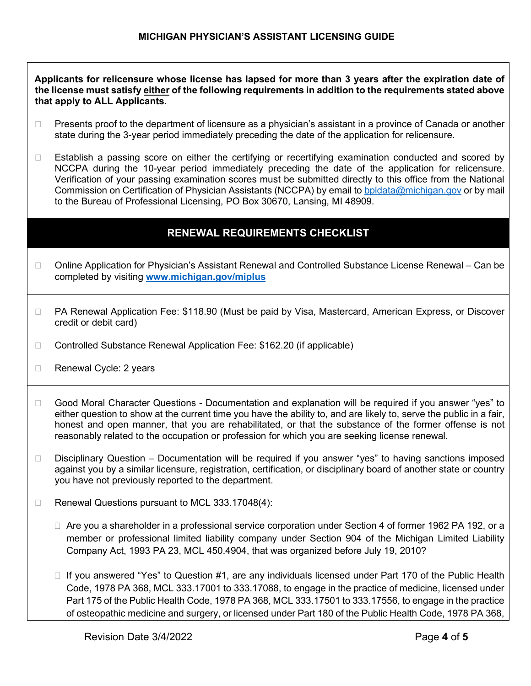#### **Applicants for relicensure whose license has lapsed for more than 3 years after the expiration date of the license must satisfy either of the following requirements in addition to the requirements stated above that apply to ALL Applicants.**

- □ Presents proof to the department of licensure as a physician's assistant in a province of Canada or another state during the 3-year period immediately preceding the date of the application for relicensure.
- $\Box$  Establish a passing score on either the certifying or recertifying examination conducted and scored by NCCPA during the 10-year period immediately preceding the date of the application for relicensure. Verification of your passing examination scores must be submitted directly to this office from the National Commission on Certification of Physician Assistants (NCCPA) by email to [bpldata@michigan.gov](mailto:bpldata@michigan.gov) or by mail to the Bureau of Professional Licensing, PO Box 30670, Lansing, MI 48909.

## **RENEWAL REQUIREMENTS CHECKLIST**

- □ Online Application for Physician's Assistant Renewal and Controlled Substance License Renewal Can be completed by visiting **[www.michigan.gov/miplus](http://www.michigan.gov/miplus)**
- □ PA Renewal Application Fee: \$118.90 (Must be paid by Visa, Mastercard, American Express, or Discover credit or debit card)
- □ Controlled Substance Renewal Application Fee: \$162.20 (if applicable)
- □ Renewal Cycle: 2 years
- □ Good Moral Character Questions Documentation and explanation will be required if you answer "yes" to either question to show at the current time you have the ability to, and are likely to, serve the public in a fair, honest and open manner, that you are rehabilitated, or that the substance of the former offense is not reasonably related to the occupation or profession for which you are seeking license renewal.
- Disciplinary Question Documentation will be required if you answer "yes" to having sanctions imposed against you by a similar licensure, registration, certification, or disciplinary board of another state or country you have not previously reported to the department.
- $\Box$  Renewal Questions pursuant to MCL 333.17048(4):
	- $\Box$  Are you a shareholder in a professional service corporation under Section 4 of former 1962 PA 192, or a member or professional limited liability company under Section 904 of the Michigan Limited Liability Company Act, 1993 PA 23, MCL 450.4904, that was organized before July 19, 2010?
	- $\Box$  If you answered "Yes" to Question #1, are any individuals licensed under Part 170 of the Public Health Code, 1978 PA 368, MCL 333.17001 to 333.17088, to engage in the practice of medicine, licensed under Part 175 of the Public Health Code, 1978 PA 368, MCL 333.17501 to 333.17556, to engage in the practice of osteopathic medicine and surgery, or licensed under Part 180 of the Public Health Code, 1978 PA 368,